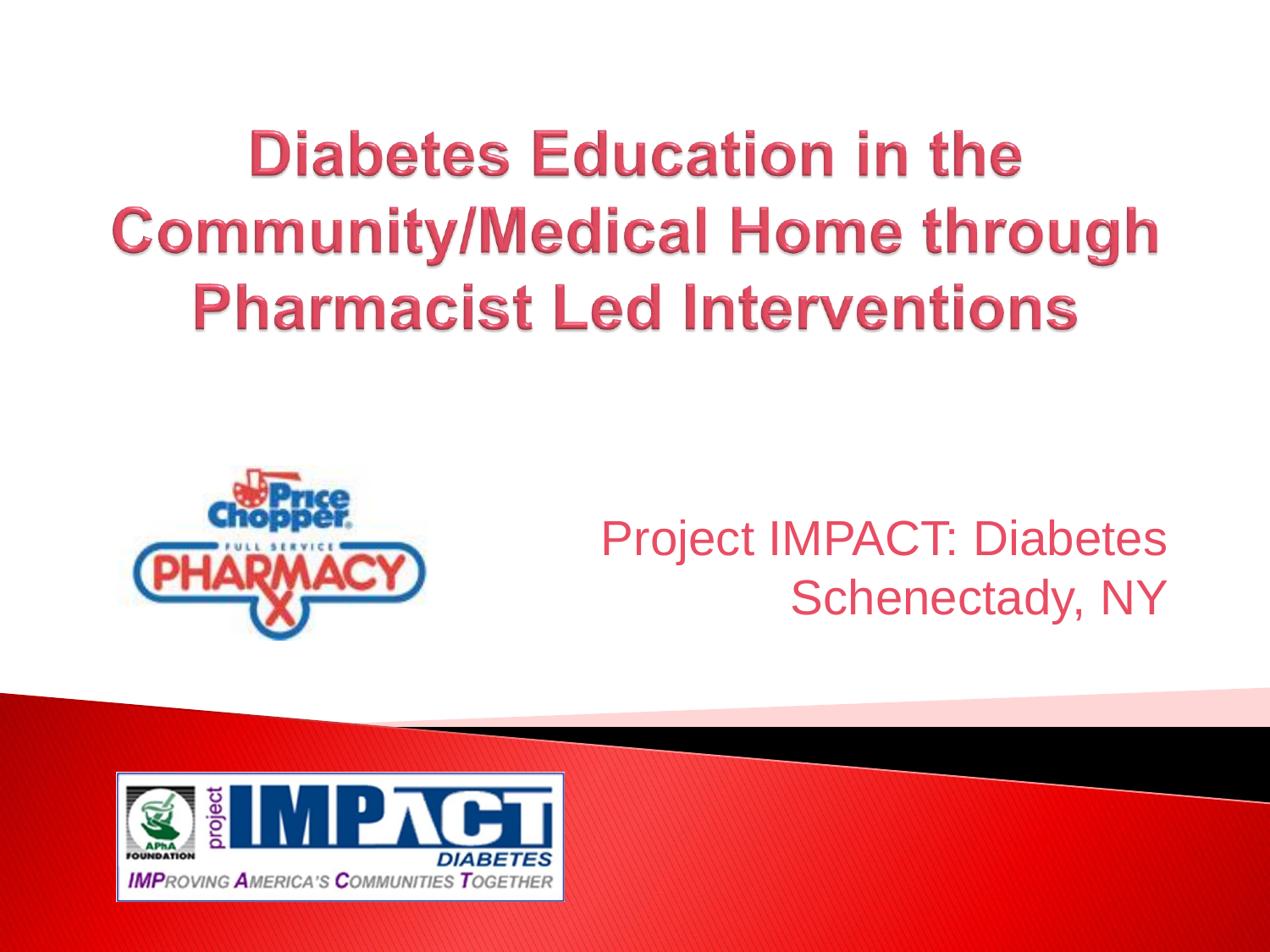**Diabetes Education in the Community/Medical Home through Pharmacist Led Interventions** 



#### Project IMPACT: Diabetes Schenectady, NY

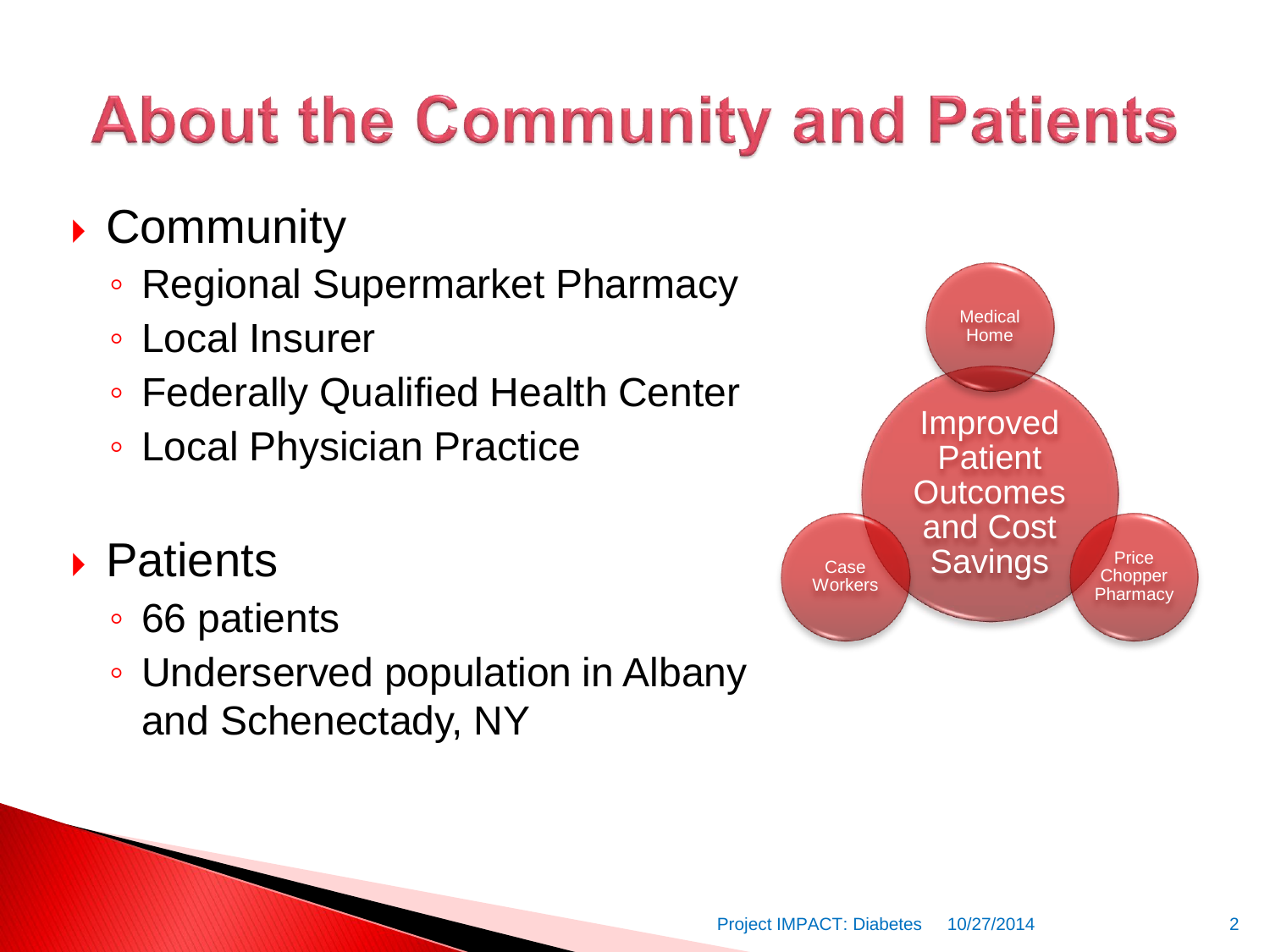# **About the Community and Patients**

#### ▶ Community

- Regional Supermarket Pharmacy
- Local Insurer
- Federally Qualified Health Center
- Local Physician Practice

#### Patients

- 66 patients
- Underserved population in Albany and Schenectady, NY

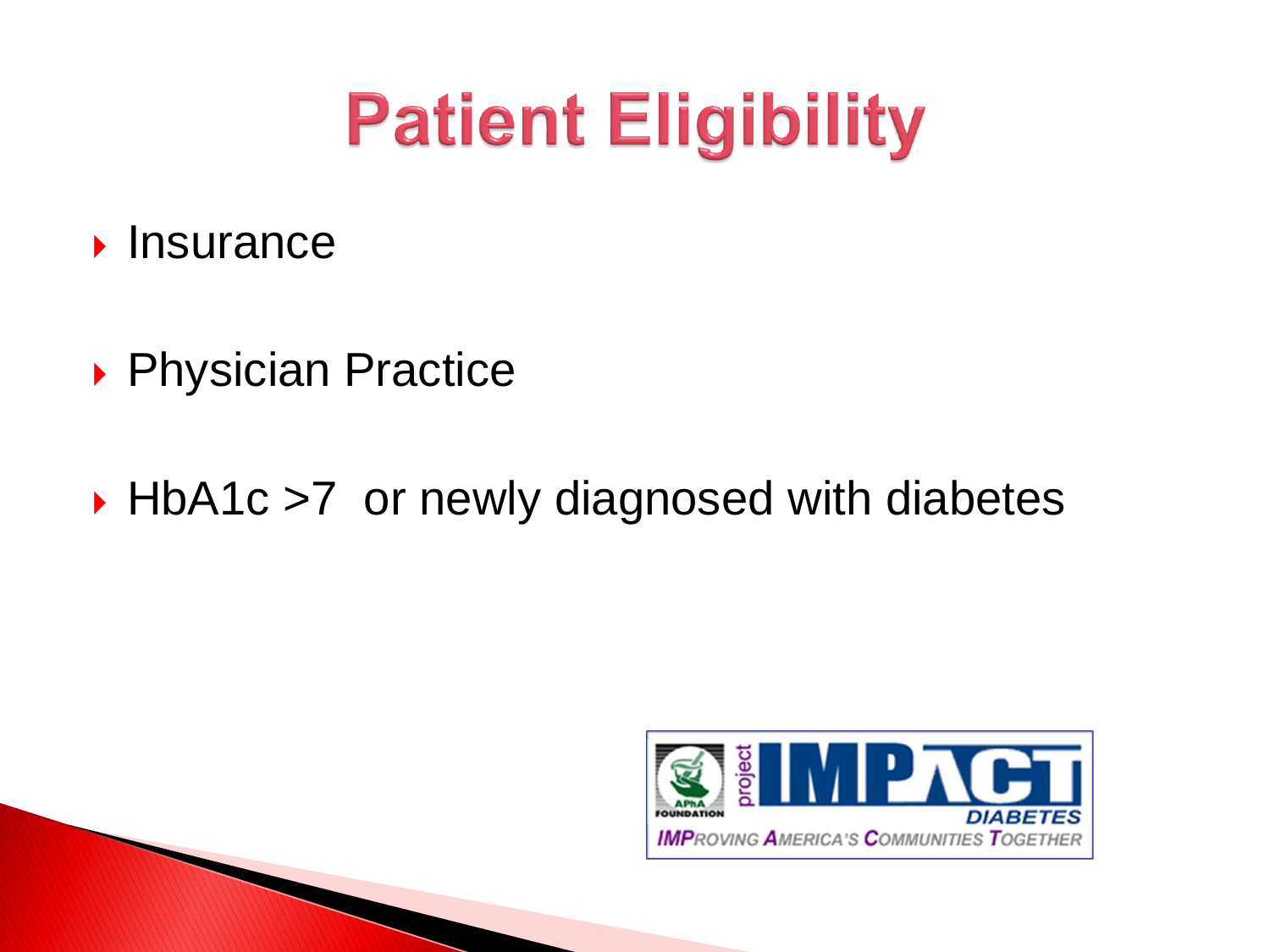# **Patient Eligibility**

- $\blacktriangleright$  Insurance
- ▶ Physician Practice
- ▶ HbA1c >7 or newly diagnosed with diabetes

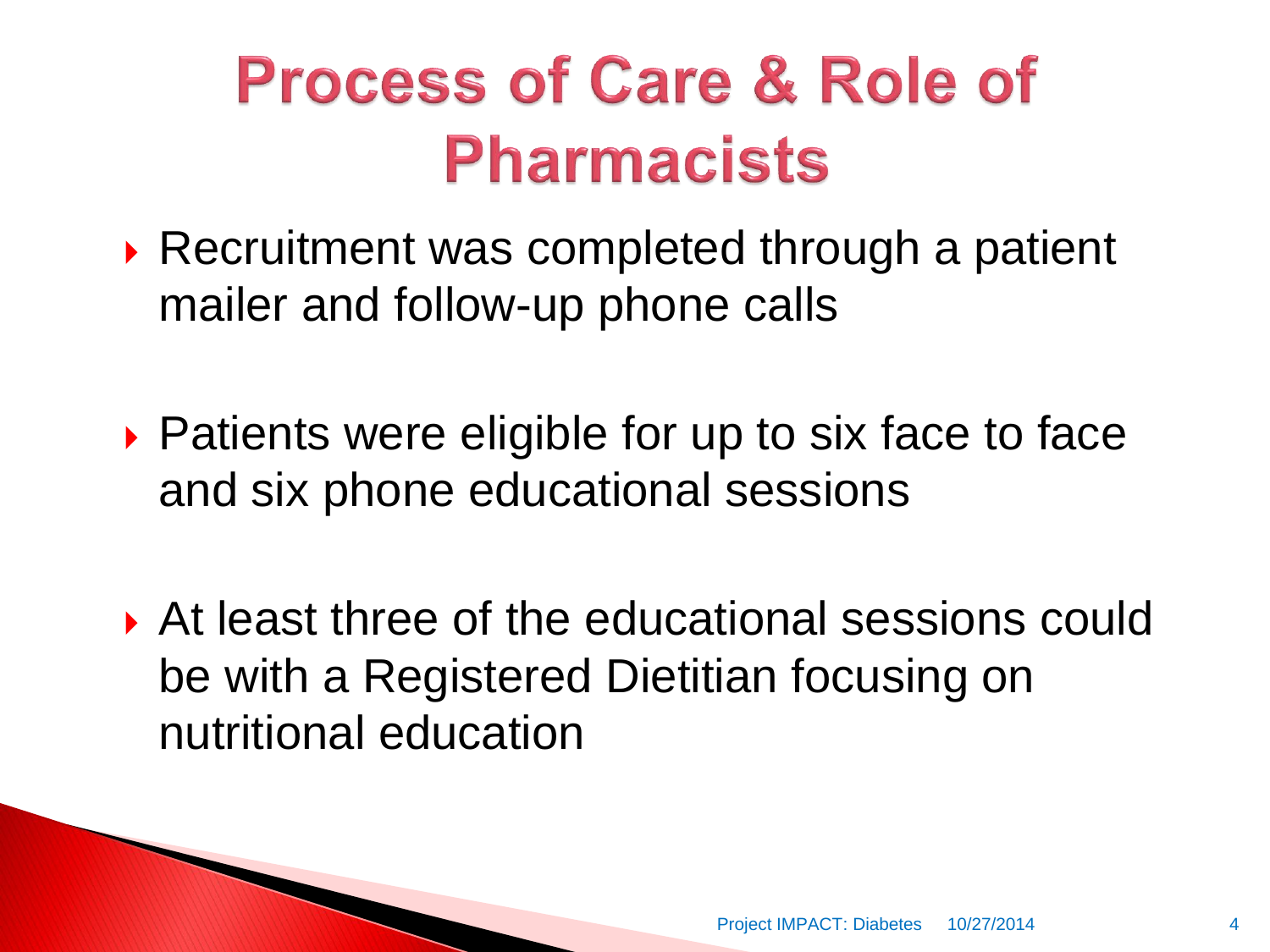## **Process of Care & Role of Pharmacists**

- ▶ Recruitment was completed through a patient mailer and follow-up phone calls
- ▶ Patients were eligible for up to six face to face and six phone educational sessions
- At least three of the educational sessions could be with a Registered Dietitian focusing on nutritional education

**The Common Second Service**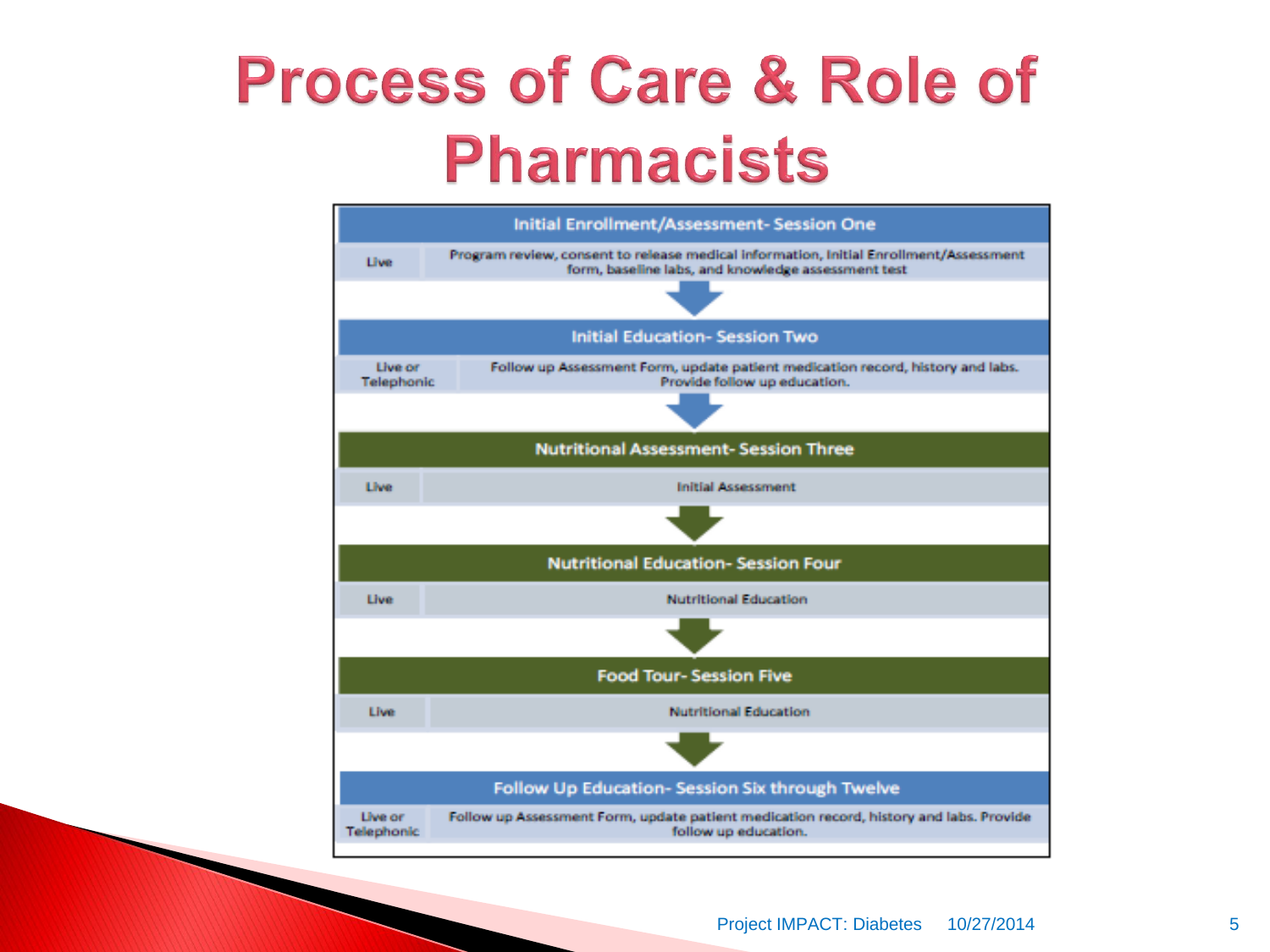### **Process of Care & Role of Pharmacists**

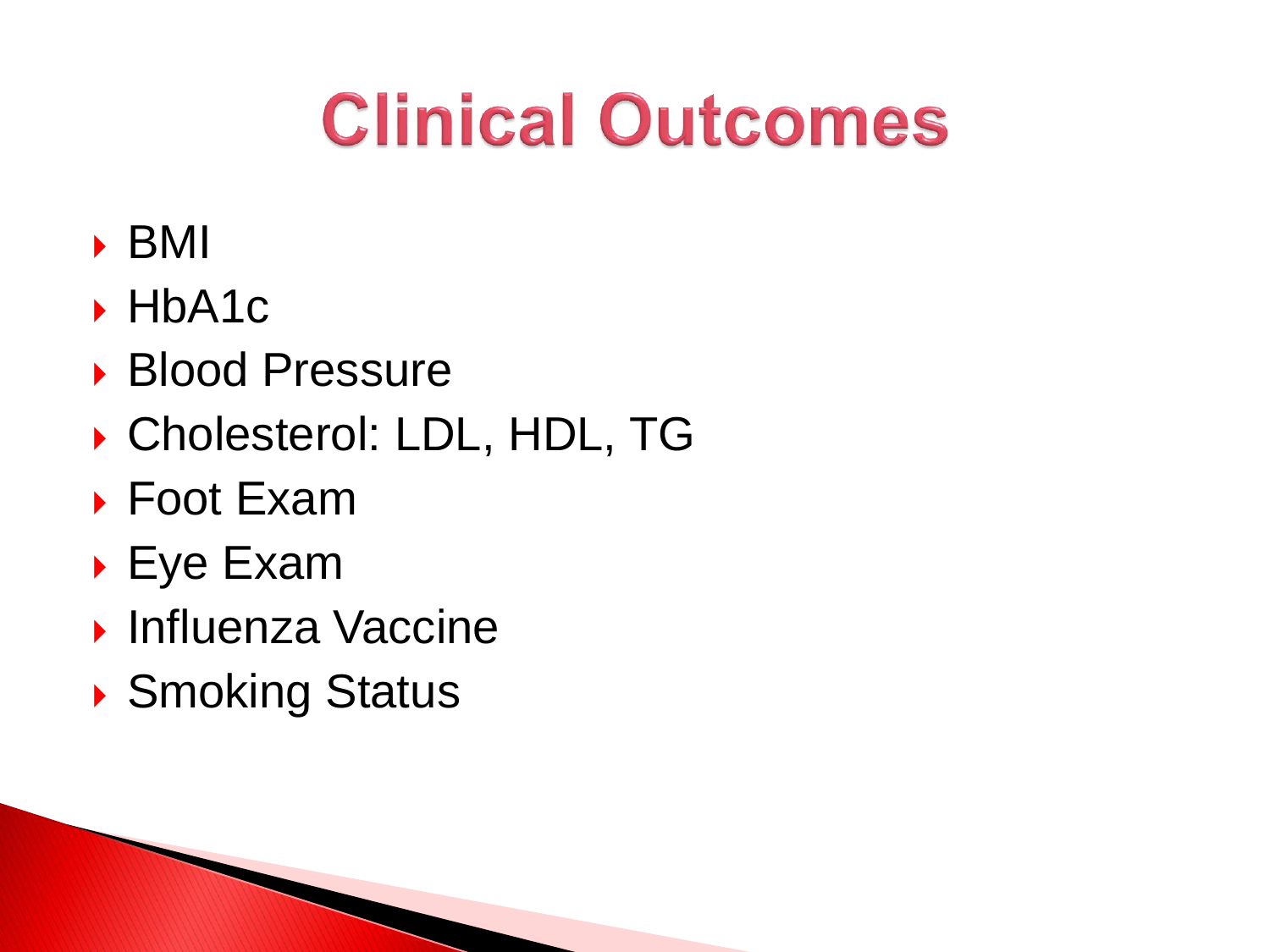# **Clinical Outcomes**

- BMI
- $\blacktriangleright$  HbA1c
- ▶ Blood Pressure
- ▶ Cholesterol: LDL, HDL, TG
- ▶ Foot Exam
- Eye Exam
- **Influenza Vaccine**
- ▶ Smoking Status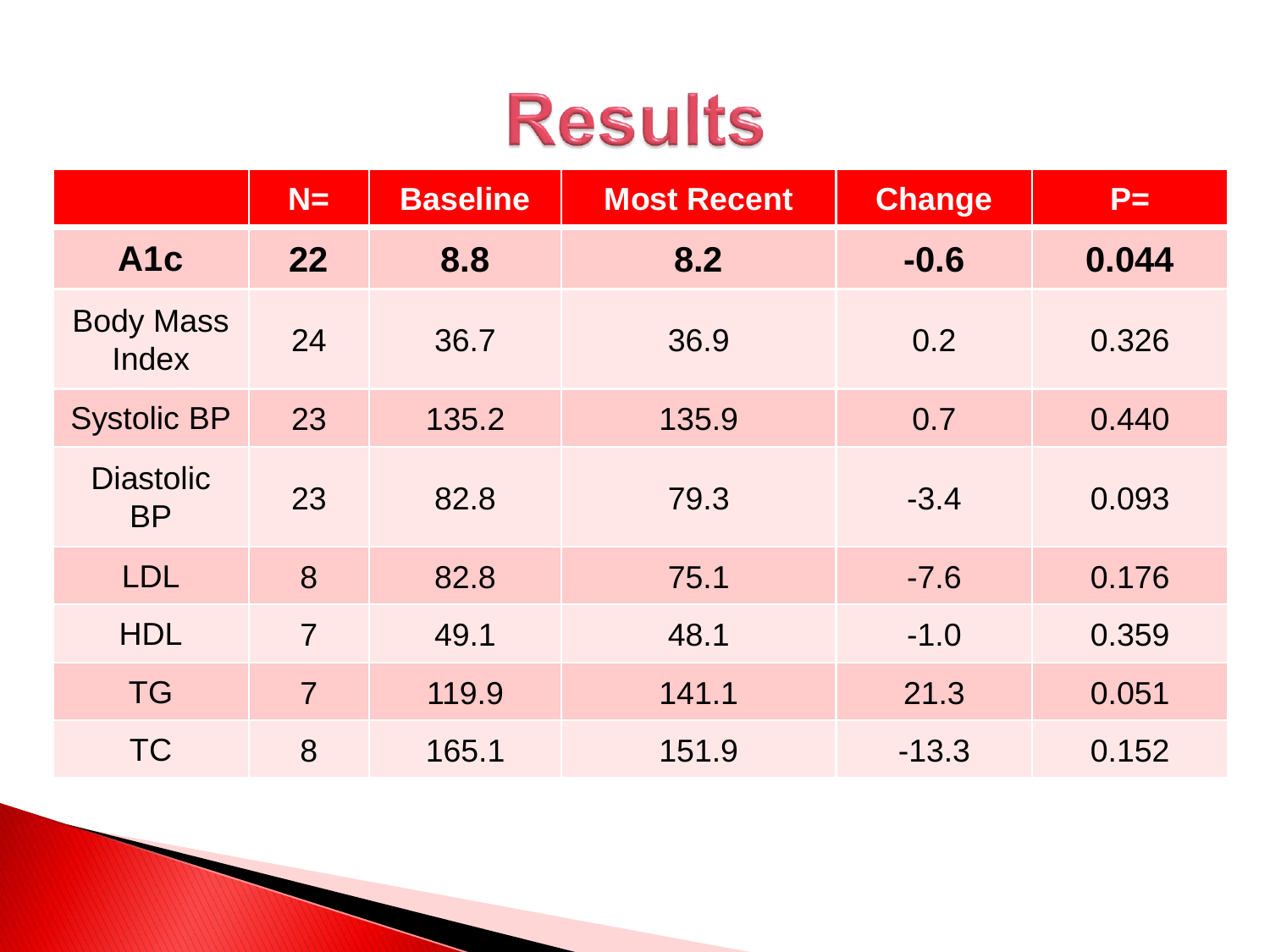## **Results**

|                               | $N=$           | <b>Baseline</b> | <b>Most Recent</b> | <b>Change</b> | $P=$  |
|-------------------------------|----------------|-----------------|--------------------|---------------|-------|
| A <sub>1</sub> c              | 22             | 8.8             | 8.2                | $-0.6$        | 0.044 |
| <b>Body Mass</b><br>Index     | 24             | 36.7            | 36.9               | 0.2           | 0.326 |
| <b>Systolic BP</b>            | 23             | 135.2           | 135.9              | 0.7           | 0.440 |
| <b>Diastolic</b><br><b>BP</b> | 23             | 82.8            | 79.3               | $-3.4$        | 0.093 |
| <b>LDL</b>                    | 8              | 82.8            | 75.1               | $-7.6$        | 0.176 |
| <b>HDL</b>                    | $\overline{7}$ | 49.1            | 48.1               | $-1.0$        | 0.359 |
| <b>TG</b>                     | $\overline{7}$ | 119.9           | 141.1              | 21.3          | 0.051 |
| <b>TC</b>                     | 8              | 165.1           | 151.9              | $-13.3$       | 0.152 |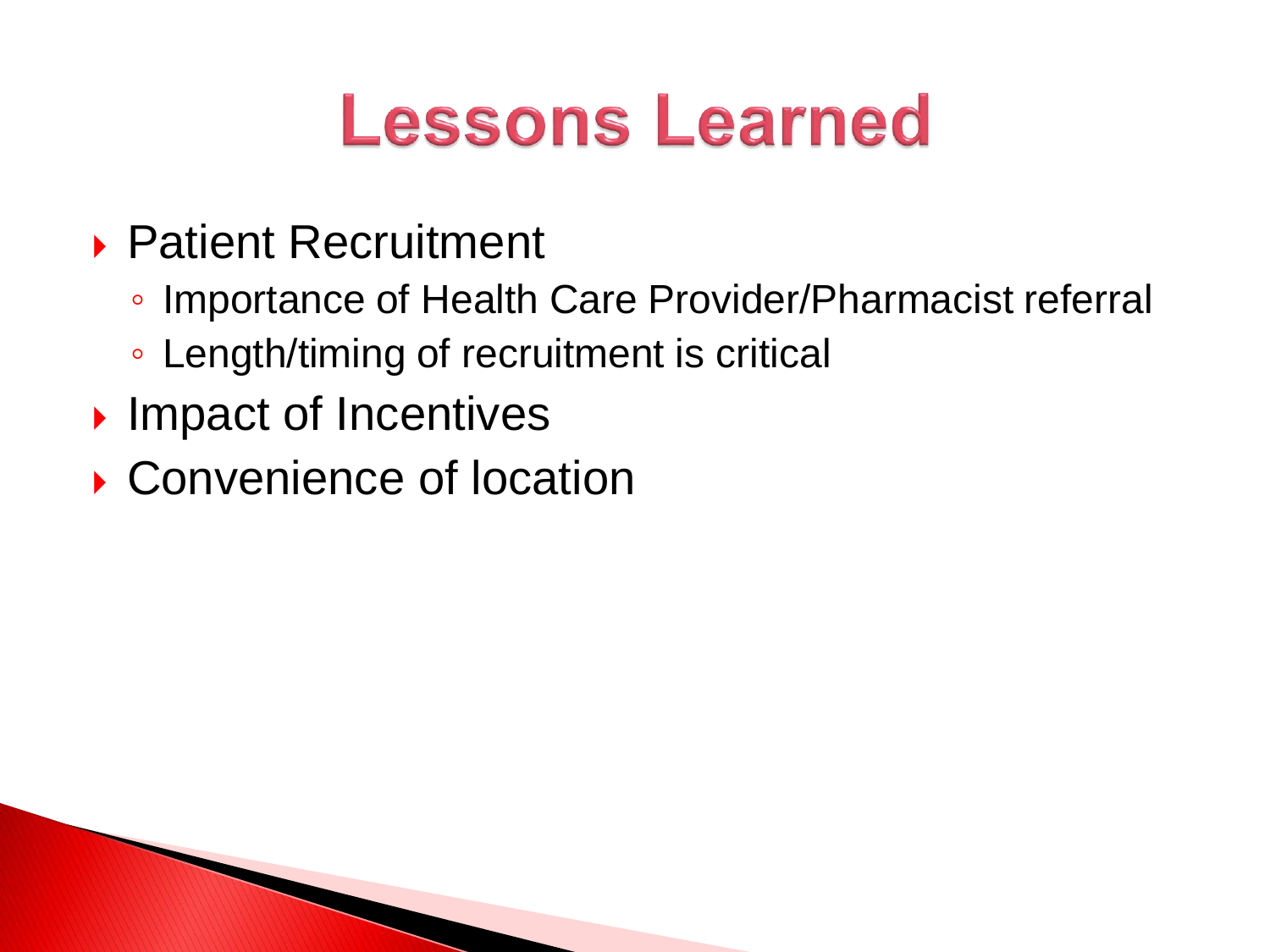# **Lessons Learned**

- ▶ Patient Recruitment
	- Importance of Health Care Provider/Pharmacist referral
	- Length/timing of recruitment is critical
- ▶ Impact of Incentives
- ▶ Convenience of location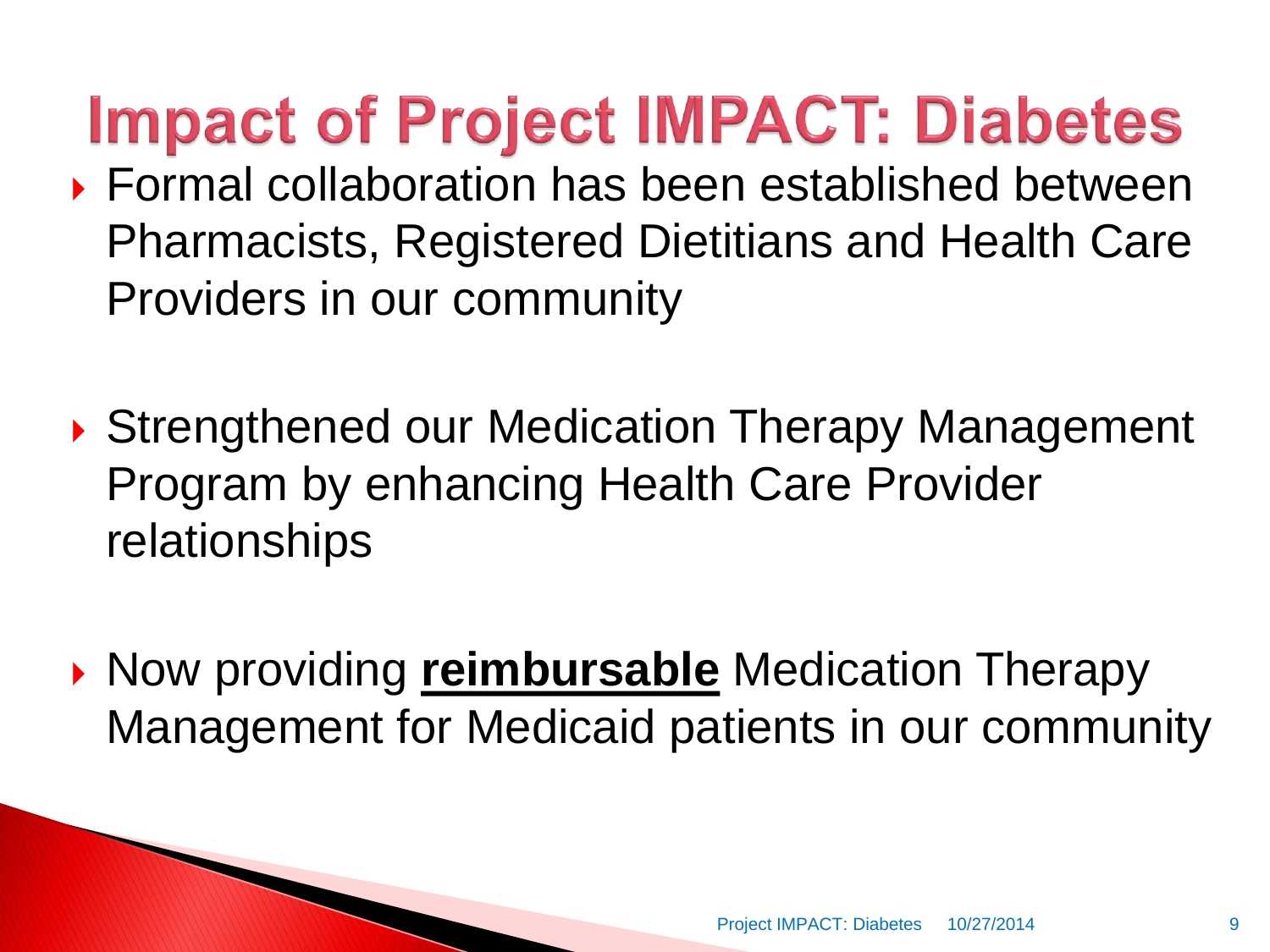**Impact of Project IMPACT: Diabetes** 

- Formal collaboration has been established between Pharmacists, Registered Dietitians and Health Care Providers in our community
- ▶ Strengthened our Medication Therapy Management Program by enhancing Health Care Provider relationships
- **Now providing reimbursable Medication Therapy** Management for Medicaid patients in our community

PARTY AND THE COMMUNICATION